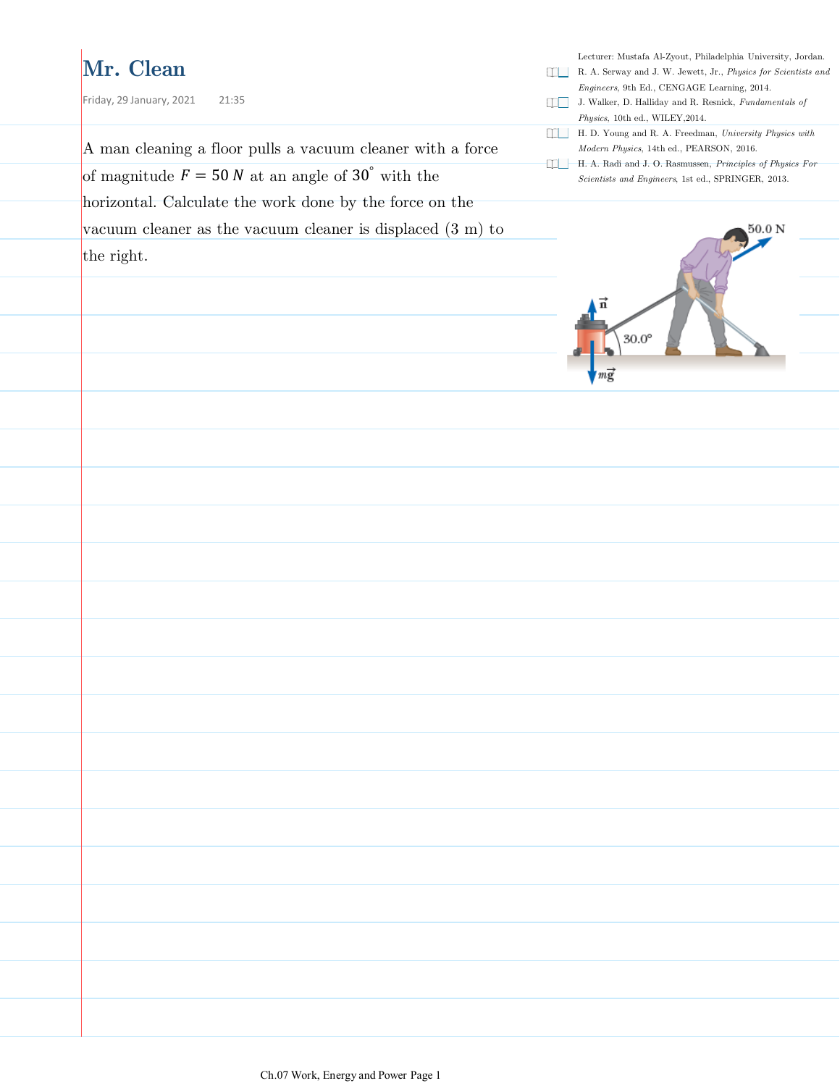### **Mr. Clean**

Lecturer: Mustafa Al-Zyout, Philadelphia University, Jordan. R. A. Serway and J. W. Jewett, Jr., *Physics for Scientists and Engineers*, 9th Ed., CENGAGE Learning, 2014. Friday, 29 January, 2021 21:35 J. Walker, D. Halliday and R. Resnick, *Fundamentals of Physics*, 10th ed., WILEY,2014. H. D. Young and R. A. Freedman, *University Physics with*  A man cleaning a floor pulls a vacuum cleaner with a force *Modern Physics*, 14th ed., PEARSON, 2016. H. A. Radi and J. O. Rasmussen, *Principles of Physics For*  of magnitude  $F = 50 N$  at an angle of 30° with the *Scientists and Engineers*, 1st ed., SPRINGER, 2013. horizontal. Calculate the work done by the force on the vacuum cleaner as the vacuum cleaner is displaced (3 m) to 50.0 N the right.  $30.0^\circ$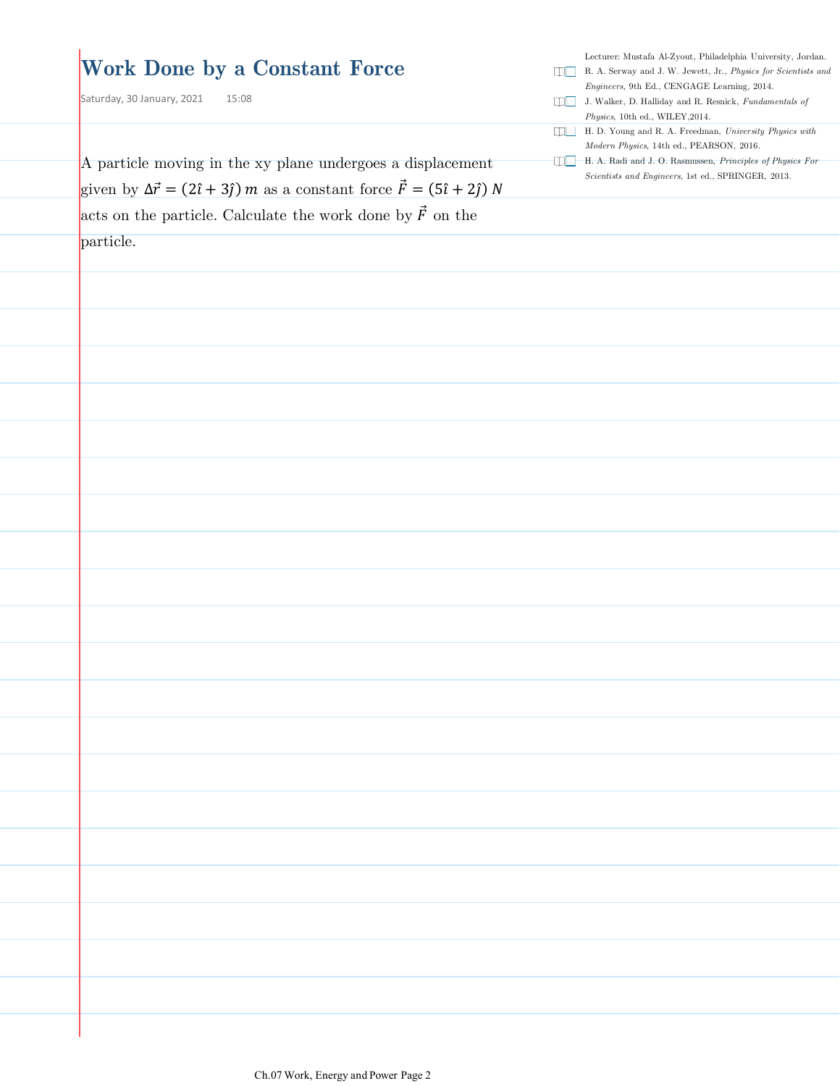| <b>Work Done by a Constant Force</b><br>Saturday, 30 January, 2021<br>15:08                                                                                                      | Lecturer: Mustafa Al-Zyout, Philadelphia University, Jordan.<br>R. A. Serway and J. W. Jewett, Jr., Physics for Scientists and<br>Engineers, 9th Ed., CENGAGE Learning, 2014.<br>J. Walker, D. Halliday and R. Resnick, Fundamentals of<br>Physics, 10th ed., WILEY, 2014. |
|----------------------------------------------------------------------------------------------------------------------------------------------------------------------------------|----------------------------------------------------------------------------------------------------------------------------------------------------------------------------------------------------------------------------------------------------------------------------|
|                                                                                                                                                                                  | H.D. Young and R. A. Freedman, University Physics with<br>Modern Physics, 14th ed., PEARSON, 2016.                                                                                                                                                                         |
| A particle moving in the xy plane undergoes a displacement                                                                                                                       | H. A. Radi and J. O. Rasmussen, Principles of Physics For<br>Scientists and Engineers, 1st ed., SPRINGER, 2013.                                                                                                                                                            |
| given by $\Delta \vec{r} = (2\hat{i} + 3\hat{j}) m$ as a constant force $\vec{F} = (5\hat{i} + 2\hat{j}) N$<br>acts on the particle. Calculate the work done by $\vec{F}$ on the |                                                                                                                                                                                                                                                                            |
| particle.                                                                                                                                                                        |                                                                                                                                                                                                                                                                            |
|                                                                                                                                                                                  |                                                                                                                                                                                                                                                                            |
|                                                                                                                                                                                  |                                                                                                                                                                                                                                                                            |
|                                                                                                                                                                                  |                                                                                                                                                                                                                                                                            |
|                                                                                                                                                                                  |                                                                                                                                                                                                                                                                            |
|                                                                                                                                                                                  |                                                                                                                                                                                                                                                                            |
|                                                                                                                                                                                  |                                                                                                                                                                                                                                                                            |
|                                                                                                                                                                                  |                                                                                                                                                                                                                                                                            |
|                                                                                                                                                                                  |                                                                                                                                                                                                                                                                            |
|                                                                                                                                                                                  |                                                                                                                                                                                                                                                                            |
|                                                                                                                                                                                  |                                                                                                                                                                                                                                                                            |
|                                                                                                                                                                                  |                                                                                                                                                                                                                                                                            |
|                                                                                                                                                                                  |                                                                                                                                                                                                                                                                            |
|                                                                                                                                                                                  |                                                                                                                                                                                                                                                                            |
|                                                                                                                                                                                  |                                                                                                                                                                                                                                                                            |
|                                                                                                                                                                                  |                                                                                                                                                                                                                                                                            |
|                                                                                                                                                                                  |                                                                                                                                                                                                                                                                            |
|                                                                                                                                                                                  |                                                                                                                                                                                                                                                                            |
|                                                                                                                                                                                  |                                                                                                                                                                                                                                                                            |
|                                                                                                                                                                                  |                                                                                                                                                                                                                                                                            |
|                                                                                                                                                                                  |                                                                                                                                                                                                                                                                            |
|                                                                                                                                                                                  |                                                                                                                                                                                                                                                                            |
|                                                                                                                                                                                  |                                                                                                                                                                                                                                                                            |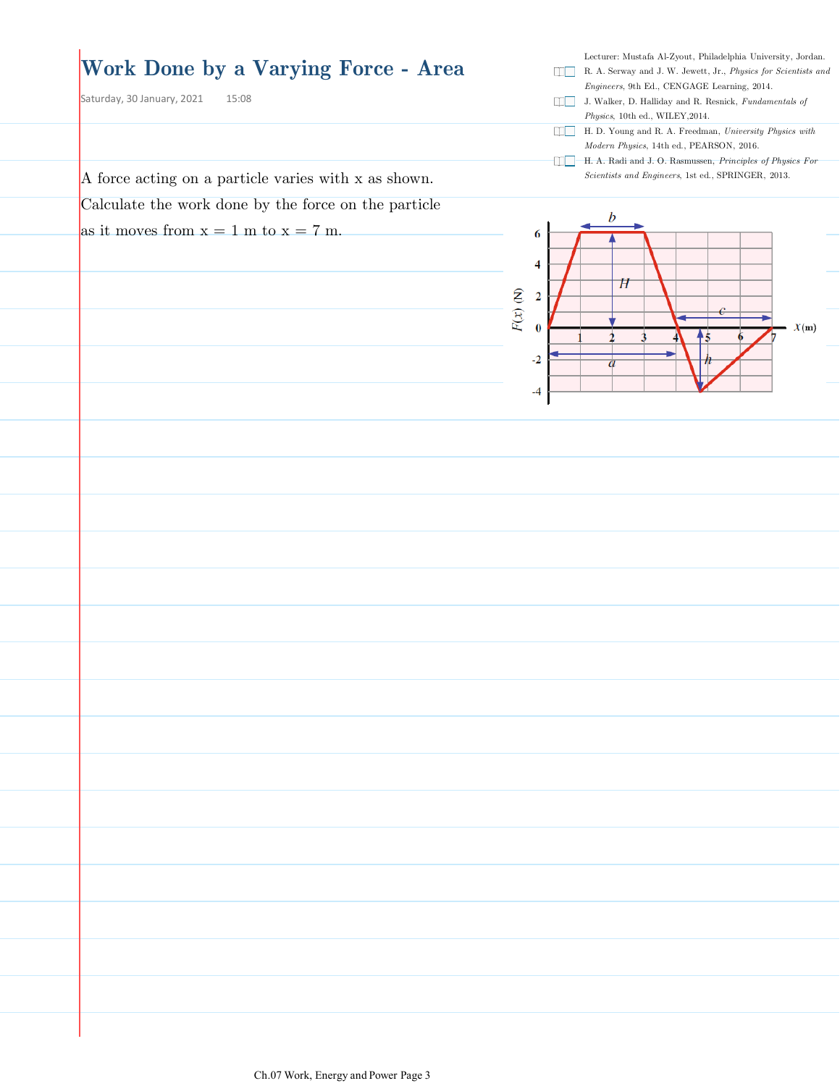### **Work Done by a Varying Force - Area**

A force acting on a particle varies with x as shown. Calculate the work done by the force on the particle

as it moves from  $x = 1$  m to  $x = 7$  m.

Saturday, 30 January, 2021 15:08

- R. A. Serway and J. W. Jewett, Jr., *Physics for Scientists and Engineers*, 9th Ed., CENGAGE Learning, 2014.
- J. Walker, D. Halliday and R. Resnick, *Fundamentals of Physics*, 10th ed., WILEY,2014.
- H. D. Young and R. A. Freedman, *University Physics with Modern Physics*, 14th ed., PEARSON, 2016.
- H. A. Radi and J. O. Rasmussen, *Principles of Physics For Scientists and Engineers*, 1st ed., SPRINGER, 2013.

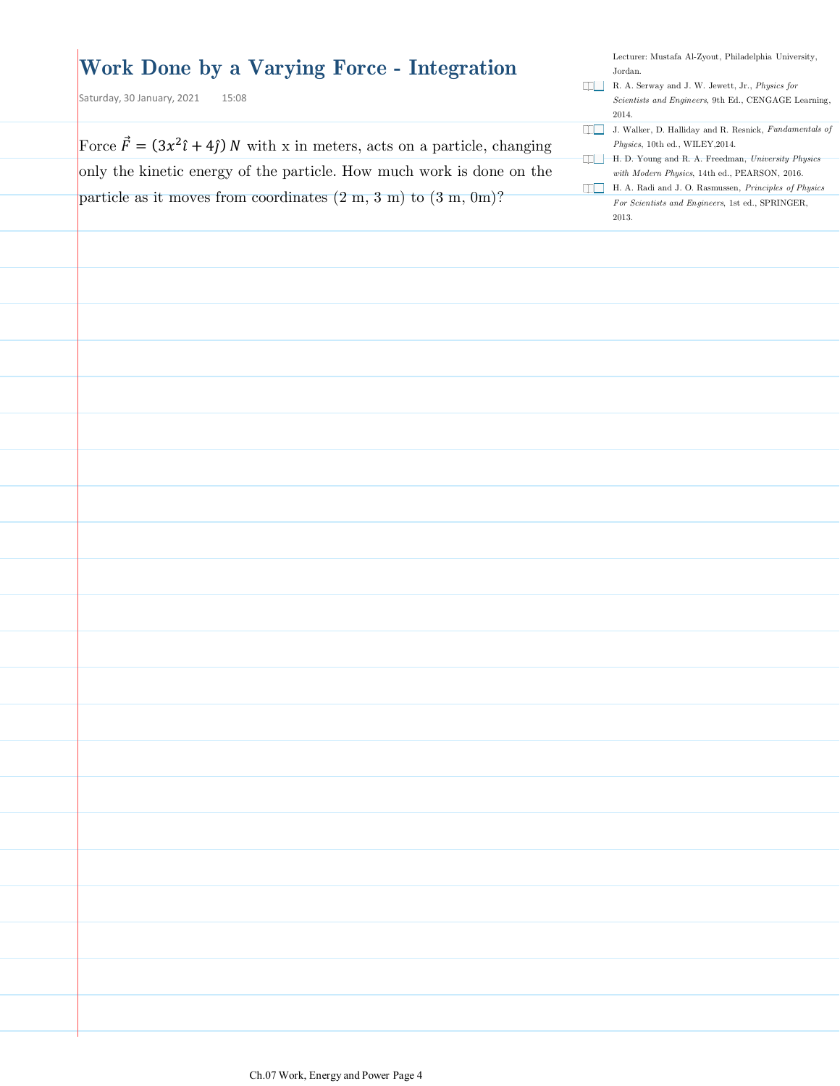| Force $\vec{F} = (3x^2\hat{i} + 4\hat{j}) N$ with x in meters, acts on a particle, changing<br>Physics, 10th ed., WILEY, 2014.<br>only the kinetic energy of the particle. How much work is done on the<br>particle as it moves from coordinates $(2 \text{ m}, 3 \text{ m})$ to $(3 \text{ m}, 0 \text{ m})$ ?<br>2013. | Work Done by a Varying Force - Integration<br>Saturday, 30 January, 2021<br>15:08 | Lecturer: Mustafa Al-Zyout, Philadelphia University,<br>Jordan.<br>R. A. Serway and J. W. Jewett, Jr., Physics for<br>Scientists and Engineers, 9th Ed., CENGAGE Learning,<br>2014.                                                                                               |
|--------------------------------------------------------------------------------------------------------------------------------------------------------------------------------------------------------------------------------------------------------------------------------------------------------------------------|-----------------------------------------------------------------------------------|-----------------------------------------------------------------------------------------------------------------------------------------------------------------------------------------------------------------------------------------------------------------------------------|
|                                                                                                                                                                                                                                                                                                                          |                                                                                   | J. Walker, D. Halliday and R. Resnick, Fundamentals of<br>H. D. Young and R. A. Freedman, University Physics<br>with Modern Physics, 14th ed., PEARSON, 2016.<br>H. A. Radi and J. O. Rasmussen, <i>Principles of Physics</i><br>For Scientists and Engineers, 1st ed., SPRINGER, |
|                                                                                                                                                                                                                                                                                                                          |                                                                                   |                                                                                                                                                                                                                                                                                   |
|                                                                                                                                                                                                                                                                                                                          |                                                                                   |                                                                                                                                                                                                                                                                                   |
|                                                                                                                                                                                                                                                                                                                          |                                                                                   |                                                                                                                                                                                                                                                                                   |
|                                                                                                                                                                                                                                                                                                                          |                                                                                   |                                                                                                                                                                                                                                                                                   |
|                                                                                                                                                                                                                                                                                                                          |                                                                                   |                                                                                                                                                                                                                                                                                   |
|                                                                                                                                                                                                                                                                                                                          |                                                                                   |                                                                                                                                                                                                                                                                                   |
|                                                                                                                                                                                                                                                                                                                          |                                                                                   |                                                                                                                                                                                                                                                                                   |
|                                                                                                                                                                                                                                                                                                                          |                                                                                   |                                                                                                                                                                                                                                                                                   |
|                                                                                                                                                                                                                                                                                                                          |                                                                                   |                                                                                                                                                                                                                                                                                   |
|                                                                                                                                                                                                                                                                                                                          |                                                                                   |                                                                                                                                                                                                                                                                                   |
|                                                                                                                                                                                                                                                                                                                          |                                                                                   |                                                                                                                                                                                                                                                                                   |
|                                                                                                                                                                                                                                                                                                                          |                                                                                   |                                                                                                                                                                                                                                                                                   |
|                                                                                                                                                                                                                                                                                                                          |                                                                                   |                                                                                                                                                                                                                                                                                   |
|                                                                                                                                                                                                                                                                                                                          |                                                                                   |                                                                                                                                                                                                                                                                                   |
|                                                                                                                                                                                                                                                                                                                          |                                                                                   |                                                                                                                                                                                                                                                                                   |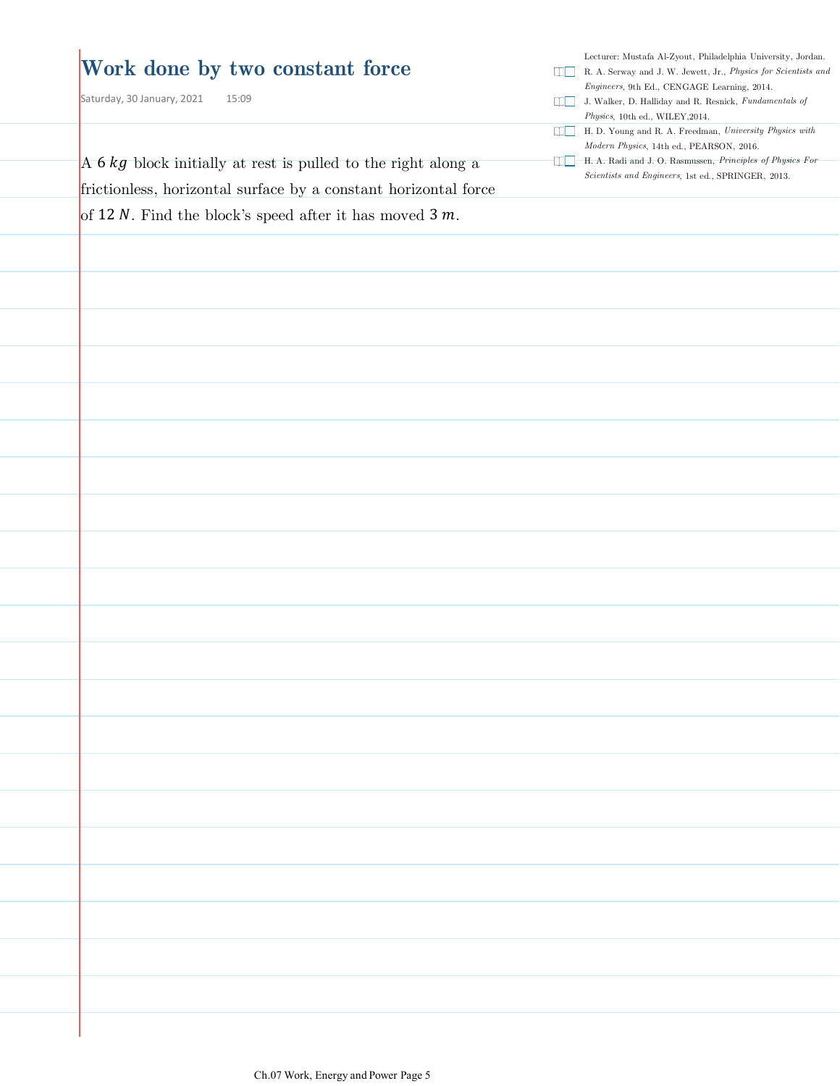#### **Work done by two constant force**

Saturday, 30 January, 2021 15:09

A  $6$   $kg$  block initially at rest is pulled to the right along a frictionless, horizontal surface by a constant horizontal force of 12 N. Find the block's speed after it has moved  $3 m$ .

- R. A. Serway and J. W. Jewett, Jr., *Physics for Scientists and Engineers*, 9th Ed., CENGAGE Learning, 2014.
- J. Walker, D. Halliday and R. Resnick, *Fundamentals of Physics*, 10th ed., WILEY,2014.
- H. D. Young and R. A. Freedman, *University Physics with Modern Physics*, 14th ed., PEARSON, 2016.
- H. A. Radi and J. O. Rasmussen, *Principles of Physics For Scientists and Engineers*, 1st ed., SPRINGER, 2013.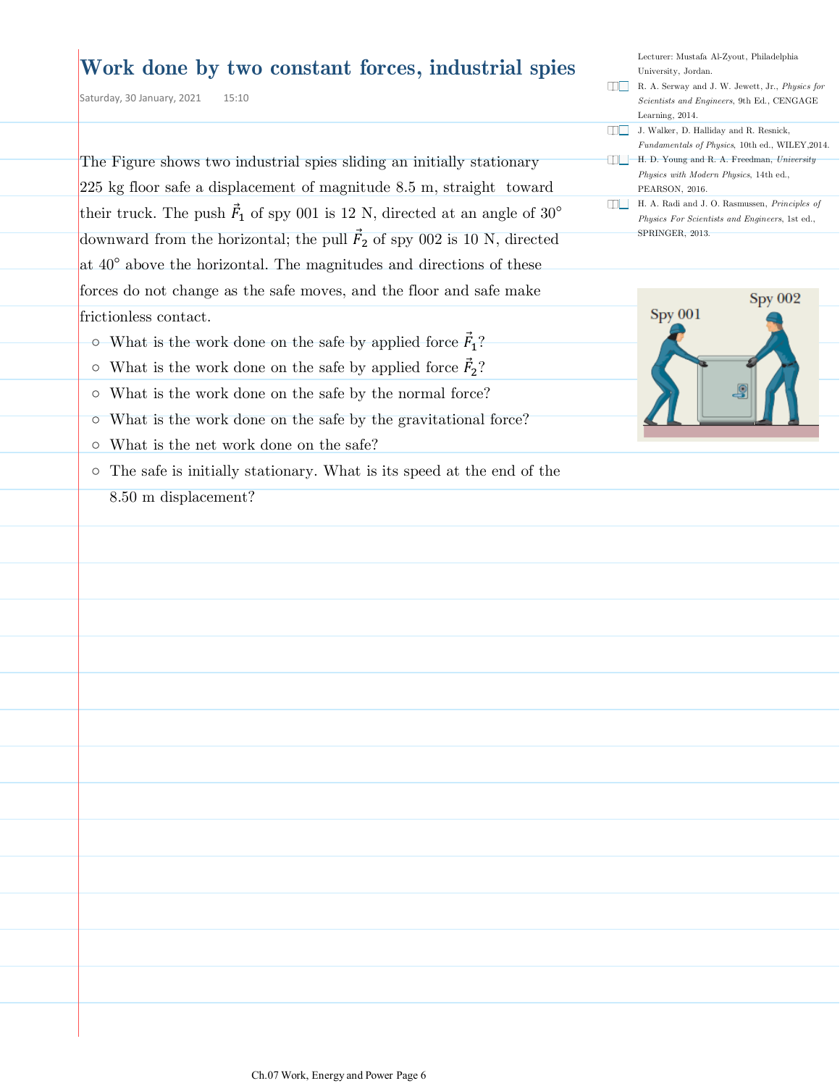### **Work done by two constant forces, industrial spies**

Saturday, 30 January, 2021 15:10

The Figure shows two industrial spies sliding an initially stationary 225 kg floor safe a displacement of magnitude 8.5 m, straight toward their truck. The push  $\vec{F}_1$  of spy 001 is 12 N, directed at an angle of 30<sup>°</sup> downward from the horizontal; the pull  $\vec{F}_2$  of spy 002 is 10 N, directed at  $40^{\circ}$  above the horizontal. The magnitudes and directions of these forces do not change as the safe moves, and the floor and safe make frictionless contact.

- $\circ$  What is the work done on the safe by applied force  $\vec{F}_1$ ?
- $\circ$  What is the work done on the safe by applied force  $\vec{F}_2$ ?
- What is the work done on the safe by the normal force?
- What is the work done on the safe by the gravitational force?
- What is the net work done on the safe?
- The safe is initially stationary. What is its speed at the end of the 8.50 m displacement?

| Lecturer: Mustafa Al-Zyout, Philadelphia               |
|--------------------------------------------------------|
| University, Jordan.                                    |
| R. A. Serway and J. W. Jewett, Jr., <i>Physics for</i> |
| <i>Scientists and Engineers</i> , 9th Ed., CENGAGE     |
| Learning, 2014.                                        |
| J. Walker, D. Halliday and R. Resnick,                 |
| <i>Fundamentals of Physics, 10th ed., WILEY, 2014.</i> |
| H. D. Young and R. A. Freedman, University             |
| Physics with Modern Physics, 14th ed.,                 |
| PEARSON, 2016.                                         |
| H. A. Radi and J. O. Rasmussen, <i>Principles of</i>   |
| Physics For Scientists and Engineers, 1st ed.,         |
| SPRINGER, 2013.                                        |
|                                                        |

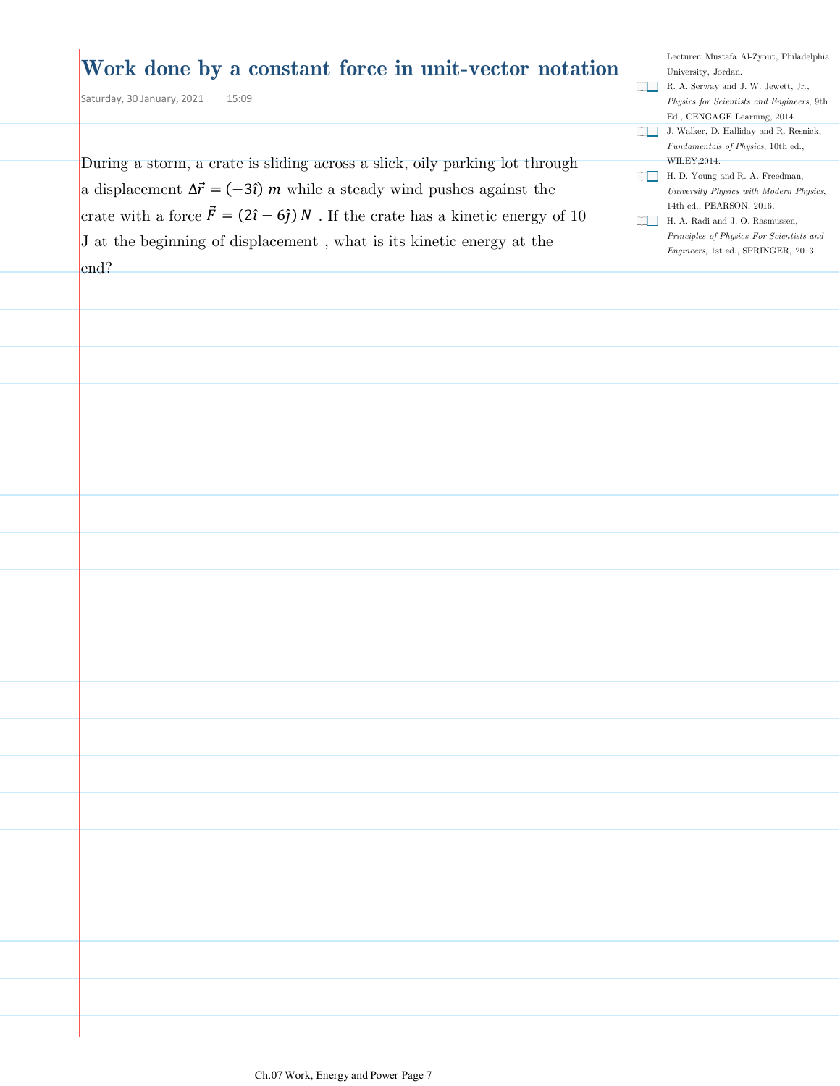### **Work done by a constant force in unit-vector notation**

Saturday, 30 January, 2021 15:09

Lecturer: Mustafa Al-Zyout, Philadelphia University, Jordan. R. A. Serway and J. W. Jewett, Jr., *Physics for Scientists and Engineers*, 9th Ed., CENGAGE Learning, 2014. J. Walker, D. Halliday and R. Resnick, *Fundamentals of Physics*, 10th ed., WILEY,2014. H. D. Young and R. A. Freedman, *University Physics with Modern Physics*, 14th ed., PEARSON, 2016. H. A. Radi and J. O. Rasmussen, *Principles of Physics For Scientists and* 

*Engineers*, 1st ed., SPRINGER, 2013.

| During a storm, a crate is sliding across a slick, oily parking lot through                      |
|--------------------------------------------------------------------------------------------------|
| a displacement $\Delta \vec{r} = (-3\hat{i}) m$ while a steady wind pushes against the           |
|                                                                                                  |
| crate with a force $\vec{F} = (2\hat{i} - 6\hat{j}) N$ . If the crate has a kinetic energy of 10 |
| J at the beginning of displacement, what is its kinetic energy at the                            |
|                                                                                                  |
| end?                                                                                             |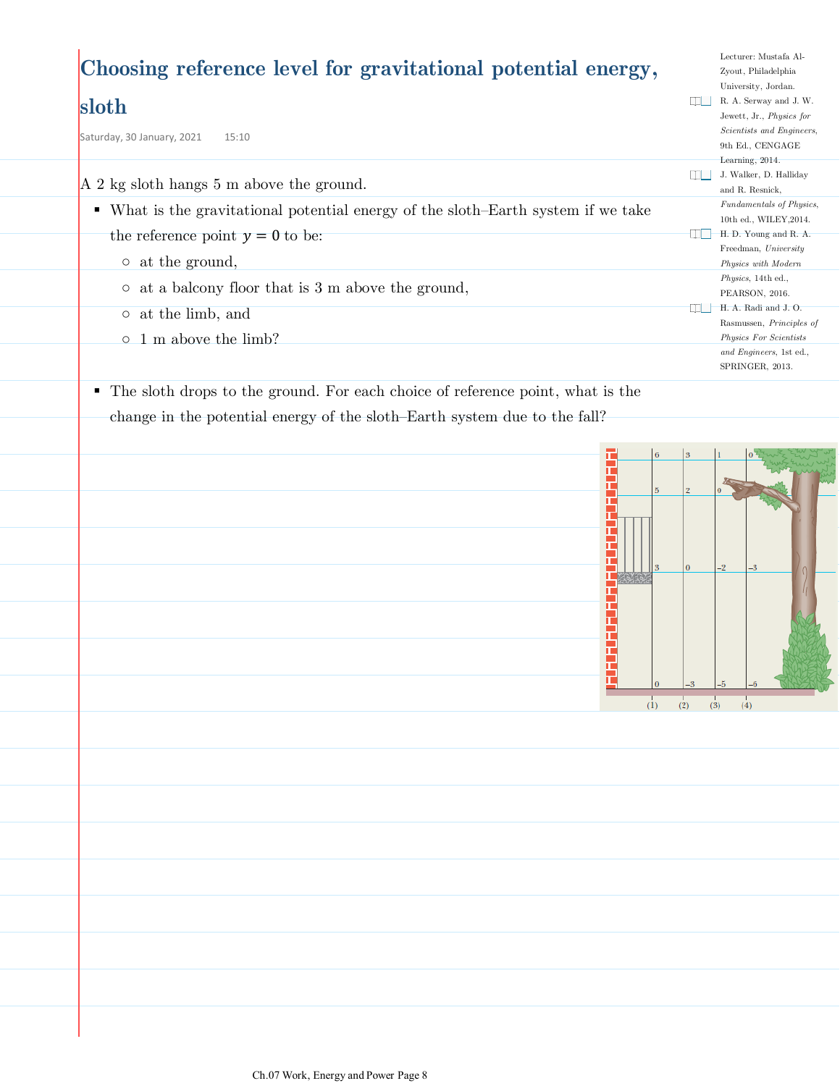# **Choosing reference level for gravitational potential energy,**

### **sloth**

Saturday, 30 January, 2021 15:10

A 2 kg sloth hangs 5 m above the ground.

- What is the gravitational potential energy of the sloth–Earth system if we take the reference point  $y = 0$  to be:
	- at the ground,
	- at a balcony floor that is 3 m above the ground,
	- at the limb, and
	- 1 m above the limb?
- The sloth drops to the ground. For each choice of reference point, what is the change in the potential energy of the sloth-Earth system due to the fall?



Lecturer: Mustafa Al-Zyout, Philadelphia University, Jordan. R. A. Serway and J. W. Jewett, Jr., *Physics for Scientists and Engineers*, 9th Ed., CENGAGE Learning, 2014. J. Walker, D. Halliday and R. Resnick, *Fundamentals of Physics*, 10th ed., WILEY,2014. H. D. Young and R. A. Freedman, *University Physics with Modern Physics*, 14th ed., PEARSON, 2016. H. A. Radi and J. O. Rasmussen, *Principles of Physics For Scientists and Engineers*, 1st ed., SPRINGER, 2013.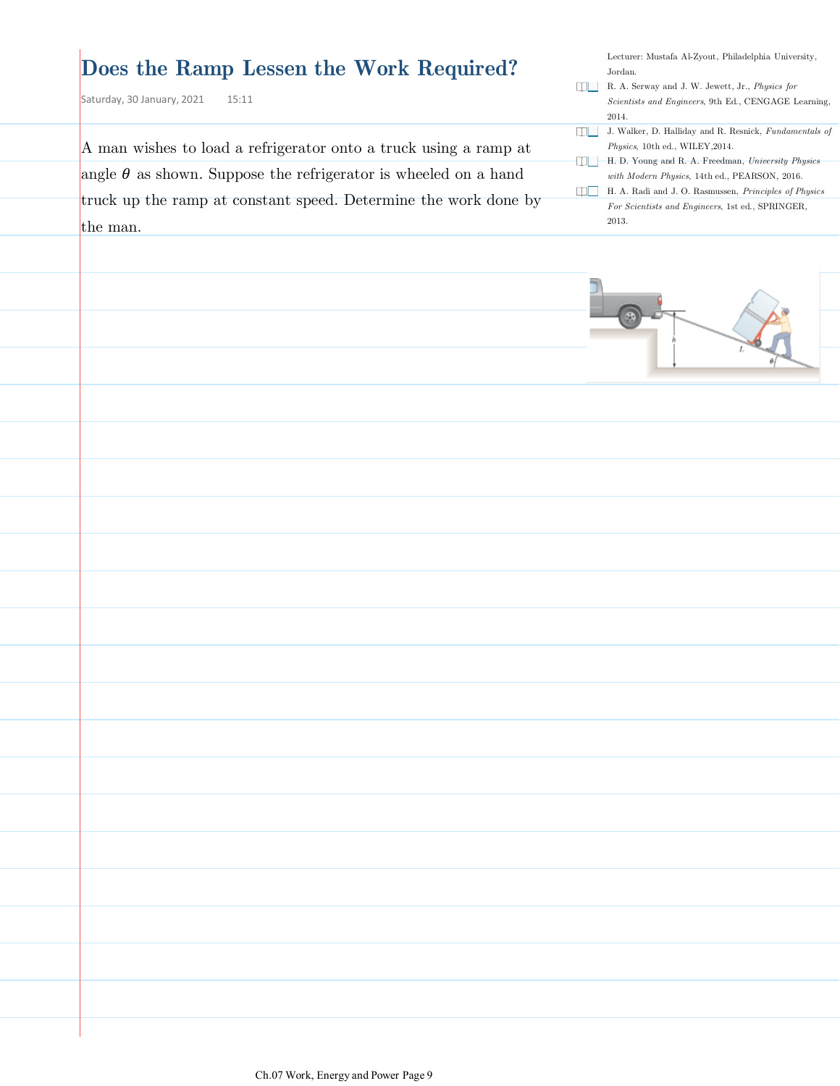### **Does the Ramp Lessen the Work Required?**

Saturday, 30 January, 2021  $15:11$ 

A man wishes to load a refrigerator onto a truck using a ramp at angle  $\theta$  as shown. Suppose the refrigerator is wheeled on a hand truck up the ramp at constant speed. Determine the work done by the man.

- R. A. Serway and J. W. Jewett, Jr., *Physics for Scientists and Engineers*, 9th Ed., CENGAGE Learning, 2014.
- J. Walker, D. Halliday and R. Resnick, *Fundamentals of Physics*, 10th ed., WILEY,2014.
- H. D. Young and R. A. Freedman, *University Physics with Modern Physics*, 14th ed., PEARSON, 2016.
- H. A. Radi and J. O. Rasmussen, *Principles of Physics For Scientists and Engineers*, 1st ed., SPRINGER, 2013.

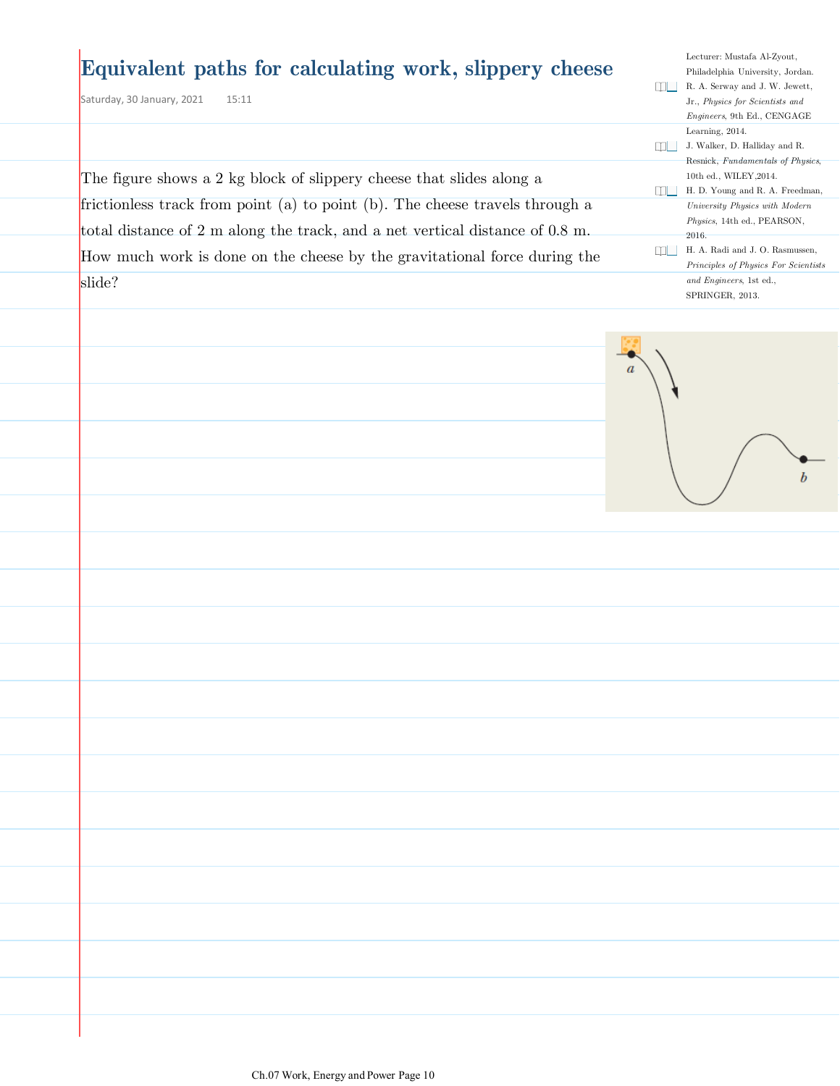### **Equivalent paths for calculating work, slippery cheese**

The figure shows a 2 kg block of slippery cheese that slides along a

frictionless track from point (a) to point (b). The cheese travels through a total distance of 2 m along the track, and a net vertical distance of 0.8 m. How much work is done on the cheese by the gravitational force during the

Saturday, 30 January, 2021 15:11

slide?

Philadelphia University, Jordan. R. A. Serway and J. W. Jewett, Jr., *Physics for Scientists and Engineers*, 9th Ed., CENGAGE Learning, 2014. J. Walker, D. Halliday and R. Resnick, *Fundamentals of Physics*, 10th ed., WILEY,2014. H. D. Young and R. A. Freedman, *University Physics with Modern Physics*, 14th ed., PEARSON, 2016. H. A. Radi and J. O. Rasmussen, *Principles of Physics For Scientists* 

Lecturer: Mustafa Al-Zyout,

 $\bar{b}$ 

*and Engineers*, 1st ed., SPRINGER, 2013.

Ch.07 Work, Energy and Power Page 10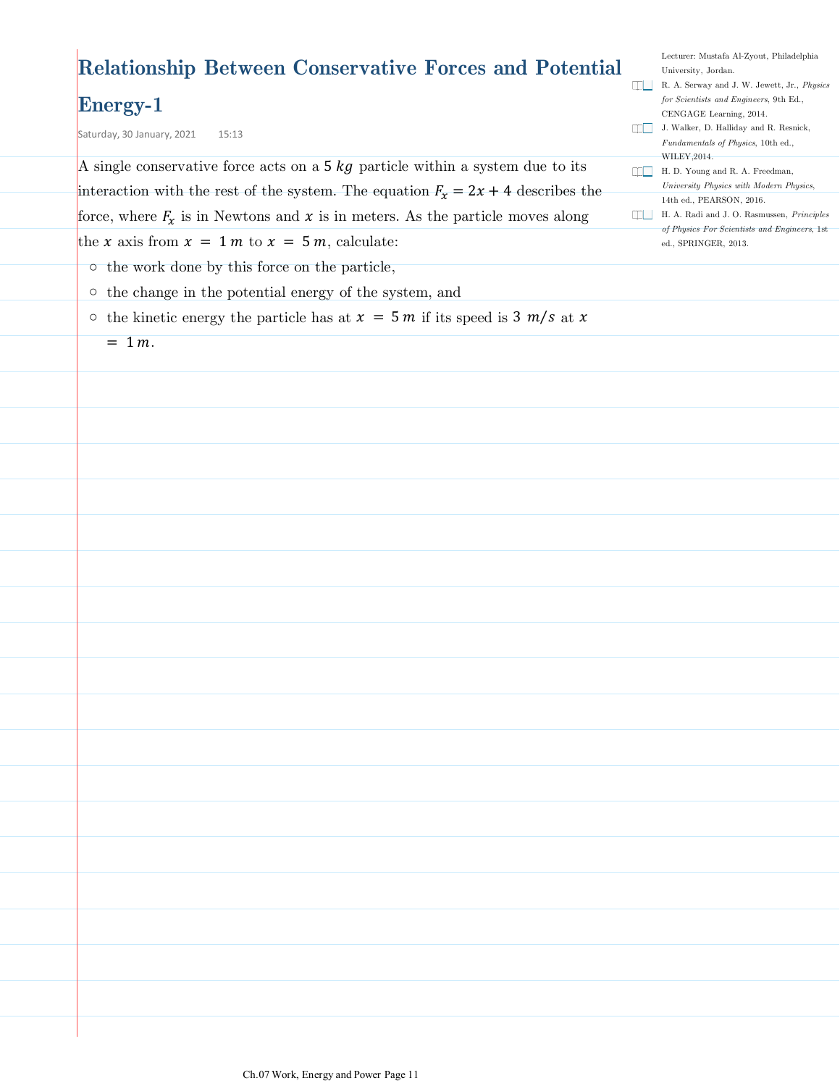| <b>Relationship Between Conservative Forces and Potential</b>                            |              | Lecturer: Mustafa Al-Zyout, Philadelphia<br>University, Jordan.                                           |
|------------------------------------------------------------------------------------------|--------------|-----------------------------------------------------------------------------------------------------------|
| $\rm{Energy-1}$                                                                          | <b>THEFT</b> | R. A. Serway and J. W. Jewett, Jr., Physics<br>for Scientists and Engineers, 9th Ed.,                     |
| Saturday, 30 January, 2021<br>15:13                                                      |              | CENGAGE Learning, 2014.<br>  J. Walker, D. Halliday and R. Resnick,<br>Fundamentals of Physics, 10th ed., |
| A single conservative force acts on a $5 \text{ kg}$ particle within a system due to its | $\Box$       | WILEY, 2014.<br>H. D. Young and R. A. Freedman,                                                           |
| interaction with the rest of the system. The equation $F_x = 2x + 4$ describes the       |              | University Physics with Modern Physics,<br>14th ed., PEARSON, 2016.                                       |
| force, where $F_x$ is in Newtons and x is in meters. As the particle moves along         | <b>UPLE</b>  | H. A. Radi and J. O. Rasmussen, Principles                                                                |
| the x axis from $x = 1$ m to $x = 5$ m, calculate:                                       |              | of Physics For Scientists and Engineers, 1st<br>ed., SPRINGER, 2013.                                      |
| $\circ$ the work done by this force on the particle,                                     |              |                                                                                                           |
| o the change in the potential energy of the system, and                                  |              |                                                                                                           |
| $\circ$ the kinetic energy the particle has at $x = 5m$ if its speed is 3 m/s at x       |              |                                                                                                           |
| $= 1 m.$                                                                                 |              |                                                                                                           |
|                                                                                          |              |                                                                                                           |
|                                                                                          |              |                                                                                                           |
|                                                                                          |              |                                                                                                           |
|                                                                                          |              |                                                                                                           |
|                                                                                          |              |                                                                                                           |
|                                                                                          |              |                                                                                                           |
|                                                                                          |              |                                                                                                           |
|                                                                                          |              |                                                                                                           |
|                                                                                          |              |                                                                                                           |
|                                                                                          |              |                                                                                                           |
|                                                                                          |              |                                                                                                           |
|                                                                                          |              |                                                                                                           |
|                                                                                          |              |                                                                                                           |
|                                                                                          |              |                                                                                                           |
|                                                                                          |              |                                                                                                           |
|                                                                                          |              |                                                                                                           |
|                                                                                          |              |                                                                                                           |
|                                                                                          |              |                                                                                                           |
|                                                                                          |              |                                                                                                           |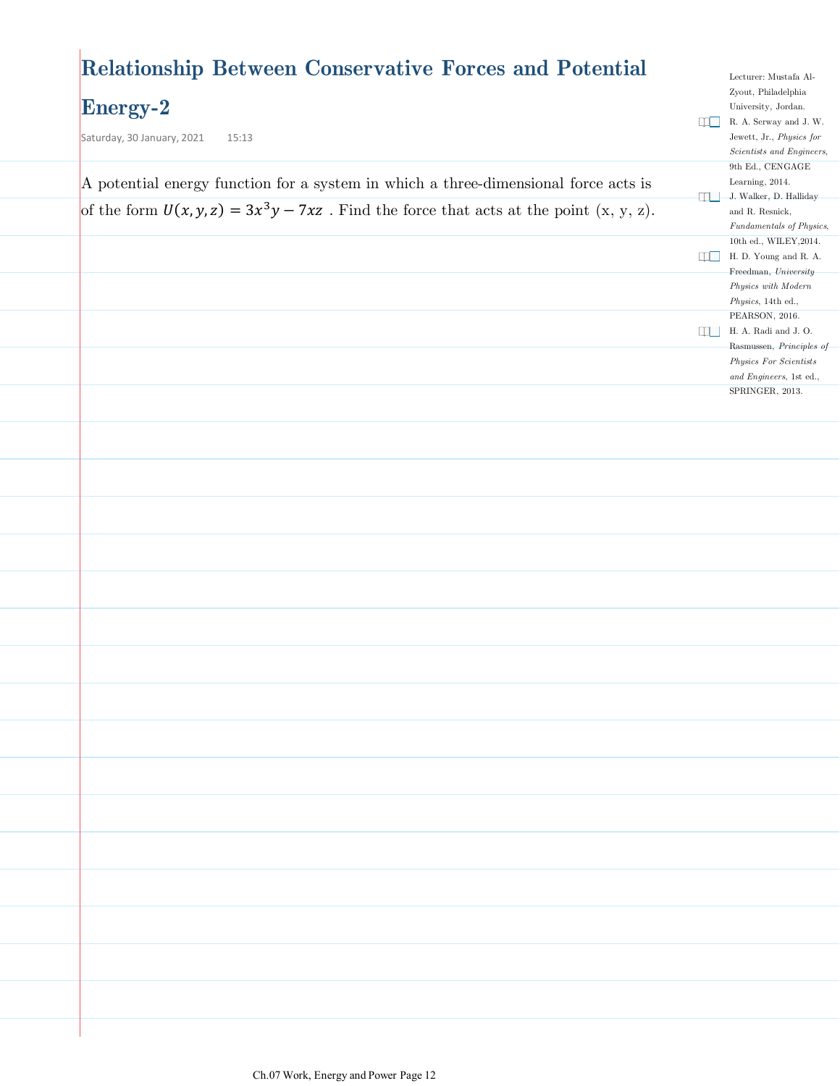### **Relationship Between Conservative Forces and Potential**

### **Energy-2**

| $\frac{1}{2}$<br>Saturday, 30 January, 2021<br>15:13                                         |           | R. A. Serway and J. W.<br>Jewett, Jr., Physics for |
|----------------------------------------------------------------------------------------------|-----------|----------------------------------------------------|
|                                                                                              |           | Scientists and Engineers,<br>9th Ed., CENGAGE      |
| A potential energy function for a system in which a three-dimensional force acts is          |           | Learning, 2014.                                    |
| of the form $U(x, y, z) = 3x^3y - 7xz$ . Find the force that acts at the point $(x, y, z)$ . | an a      | J. Walker, D. Halliday<br>and R. Resnick,          |
|                                                                                              |           | Fundamentals of Physics,                           |
|                                                                                              | $\Box$    | 10th ed., WILEY, 2014.<br>H. D. Young and R. A.    |
|                                                                                              |           | Freedman, University                               |
|                                                                                              |           | Physics with Modern                                |
|                                                                                              |           | Physics, 14th ed.,<br>PEARSON, 2016.               |
|                                                                                              | <b>MT</b> | H. A. Radi and J. O.                               |
|                                                                                              |           | Rasmussen, Principles of<br>Physics For Scientists |
|                                                                                              |           | and Engineers, 1st ed.,                            |
|                                                                                              |           | SPRINGER, 2013.                                    |
|                                                                                              |           |                                                    |
|                                                                                              |           |                                                    |
|                                                                                              |           |                                                    |
|                                                                                              |           |                                                    |
|                                                                                              |           |                                                    |
|                                                                                              |           |                                                    |
|                                                                                              |           |                                                    |
|                                                                                              |           |                                                    |
|                                                                                              |           |                                                    |
|                                                                                              |           |                                                    |
|                                                                                              |           |                                                    |
|                                                                                              |           |                                                    |
|                                                                                              |           |                                                    |
|                                                                                              |           |                                                    |
|                                                                                              |           |                                                    |
|                                                                                              |           |                                                    |
|                                                                                              |           |                                                    |
|                                                                                              |           |                                                    |
|                                                                                              |           |                                                    |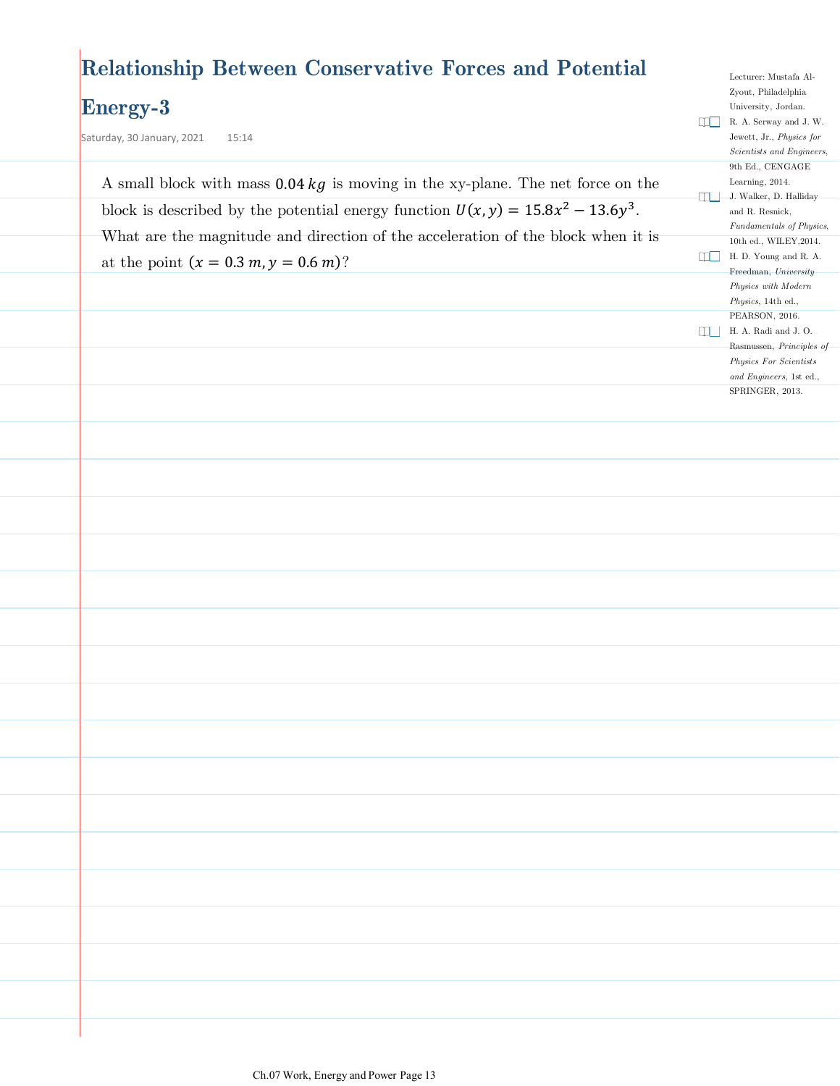### **Relationship Between Conservative Forces and Potential**

#### **Energy-3**

Saturday, 30 January, 2021  $15:14$ 

A small block with mass  $0.04 \text{ kg}$  is moving in the xy-plane. The net force on the block is described by the potential energy function  $U(x, y) = 15.8x^2 - 13.6y^3$ . What are the magnitude and direction of the acceleration of the block when it is at the point  $(x = 0.3 m, y = 0.6 m)$ ?

Lecturer: Mustafa Al-Zyout, Philadelphia University, Jordan. R. A. Serway and J. W. Jewett, Jr., *Physics for Scientists and Engineers*, 9th Ed., CENGAGE Learning, 2014. J. Walker, D. Halliday and R. Resnick, *Fundamentals of Physics*, 10th ed., WILEY,2014. H. D. Young and R. A. Freedman, *University Physics with Modern Physics*, 14th ed., PEARSON, 2016.  $\Box$  <br> <br>H. A. Radi and J. O. Rasmussen, *Principles of Physics For Scientists and Engineers*, 1st ed., SPRINGER, 2013.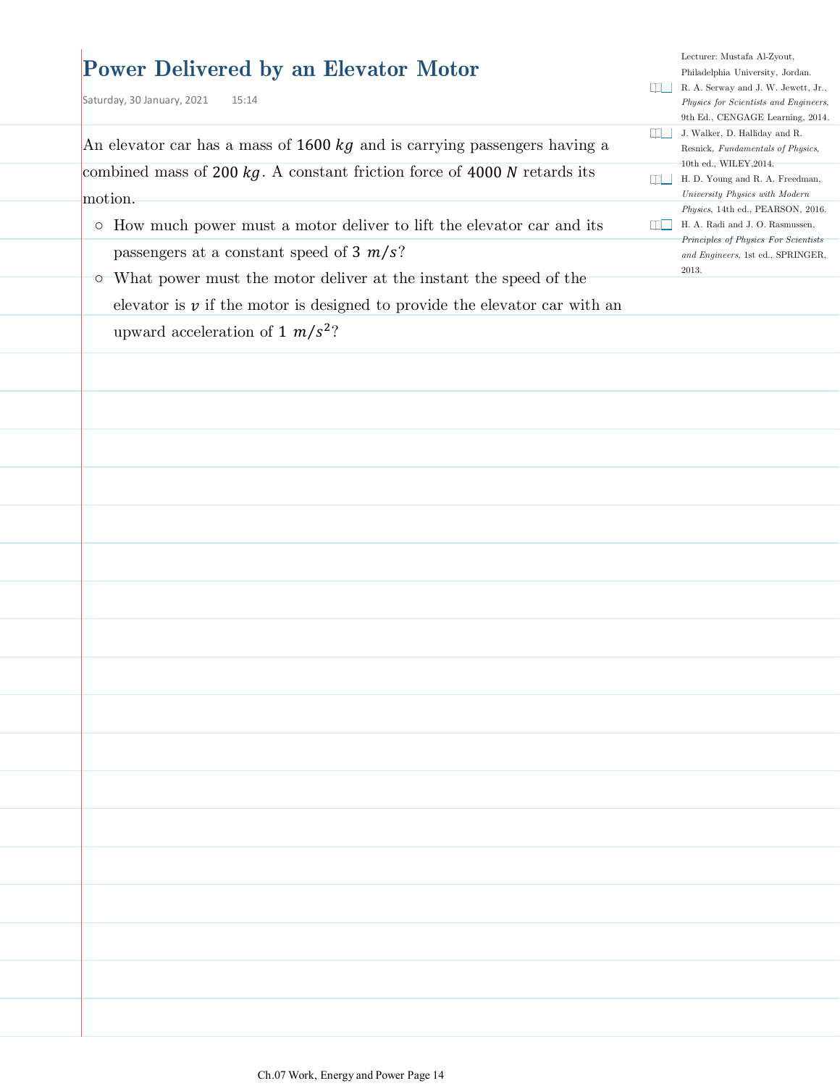### **Power Delivered by an Elevator Motor**

Saturday, 30 January, 2021 15:14

An elevator car has a mass of  $1600 kg$  and is carrying passengers having a combined mass of 200  $kg$ . A constant friction force of 4000  $N$  retards its motion.

 $\circ$  How much power must a motor deliver to lift the elevator car and its passengers at a constant speed of  $3 \frac{m}{s}$ ?

What power must the motor deliver at the instant the speed of the ○ elevator is  $\nu$  if the motor is designed to provide the elevator car with an upward acceleration of 1  $m/s^2$ ?

Lecturer: Mustafa Al-Zyout, Philadelphia University, Jordan. R. A. Serway and J. W. Jewett, Jr., *Physics for Scientists and Engineers*, 9th Ed., CENGAGE Learning, 2014. J. Walker, D. Halliday and R. Resnick, *Fundamentals of Physics*, 10th ed., WILEY,2014. H. D. Young and R. A. Freedman,

- *Physics*, 14th ed., PEARSON, 2016. H. A. Radi and J. O. Rasmussen, *Principles of Physics For Scientists*
- *University Physics with Modern and Engineers*, 1st ed., SPRINGER,

2013.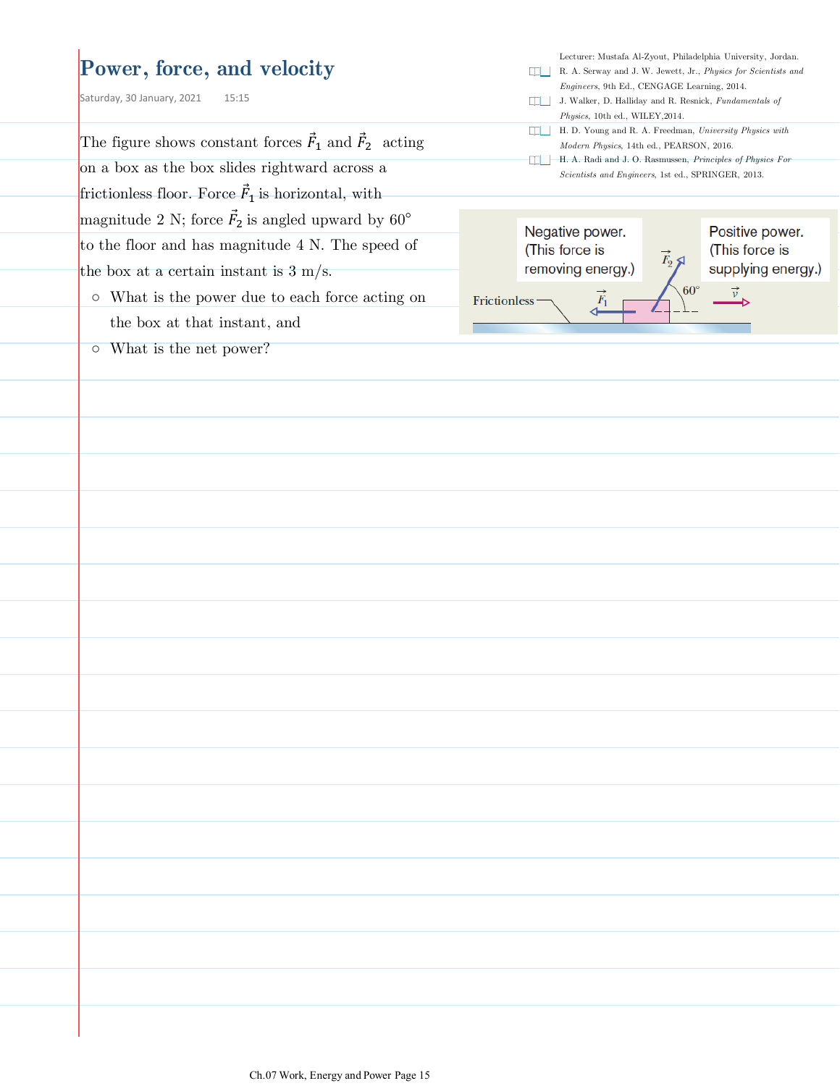#### **Power, force, and velocity**

Saturday, 30 January, 2021 15:15

The figure shows constant forces  $\vec{F}_1$  and  $\vec{F}_2$  acting on a box as the box slides rightward across a frictionless floor. Force  $\vec{F}_1$  is horizontal, with magnitude 2 N; force  $\vec{F}_2$  is angled upward by 60<sup>°</sup> to the floor and has magnitude 4 N. The speed of the box at a certain instant is  $3 \text{ m/s}$ .

- What is the power due to each force acting on the box at that instant, and
- What is the net power?

- R. A. Serway and J. W. Jewett, Jr., *Physics for Scientists and Engineers*, 9th Ed., CENGAGE Learning, 2014.
- J. Walker, D. Halliday and R. Resnick, *Fundamentals of Physics*, 10th ed., WILEY,2014.
- H. D. Young and R. A. Freedman, *University Physics with Modern Physics*, 14th ed., PEARSON, 2016.
- H. A. Radi and J. O. Rasmussen, *Principles of Physics For Scientists and Engineers*, 1st ed., SPRINGER, 2013.

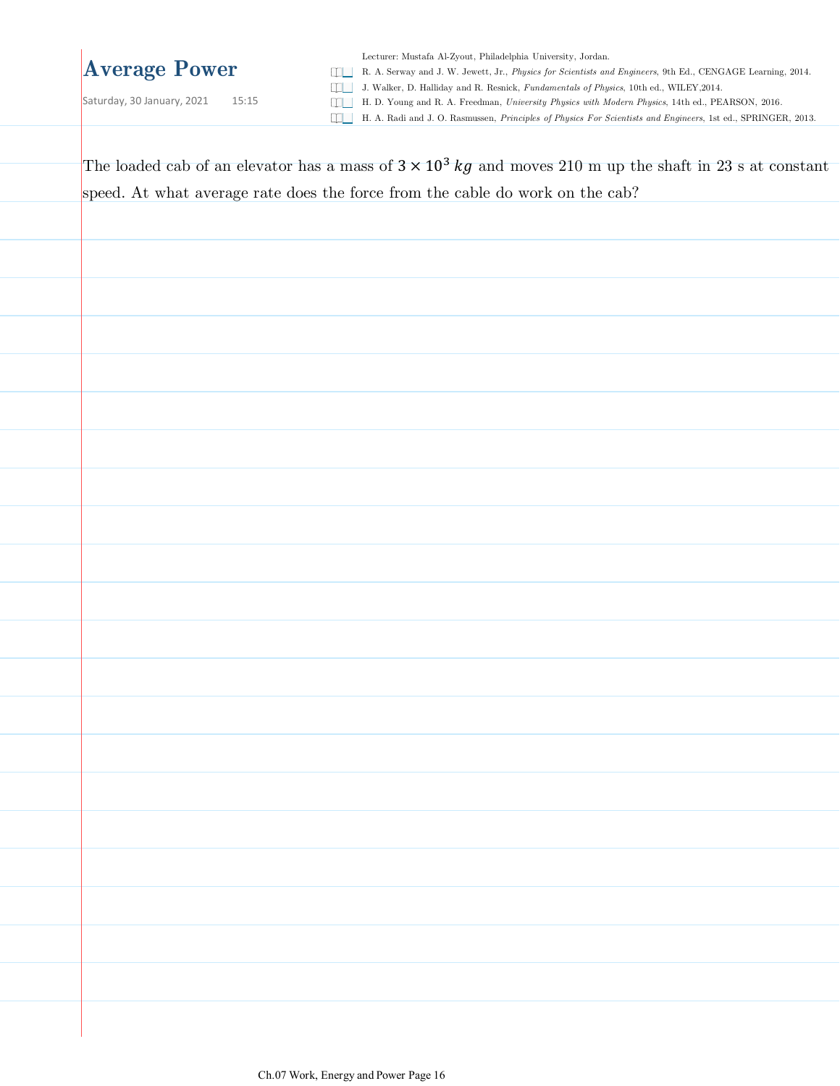### **Average Power**

Saturday, 30 January, 2021 15:15

Lecturer: Mustafa Al-Zyout, Philadelphia University, Jordan.

R. A. Serway and J. W. Jewett, Jr., *Physics for Scientists and Engineers*, 9th Ed., CENGAGE Learning, 2014.

J. Walker, D. Halliday and R. Resnick, *Fundamentals of Physics*, 10th ed., WILEY,2014.

H. D. Young and R. A. Freedman, *University Physics with Modern Physics*, 14th ed., PEARSON, 2016.

H. A. Radi and J. O. Rasmussen, *Principles of Physics For Scientists and Engineers*, 1st ed., SPRINGER, 2013.

The loaded cab of an elevator has a mass of  $3 \times 10^3$  kg and moves 210 m up the shaft in 23 s at constant speed. At what average rate does the force from the cable do work on the cab?